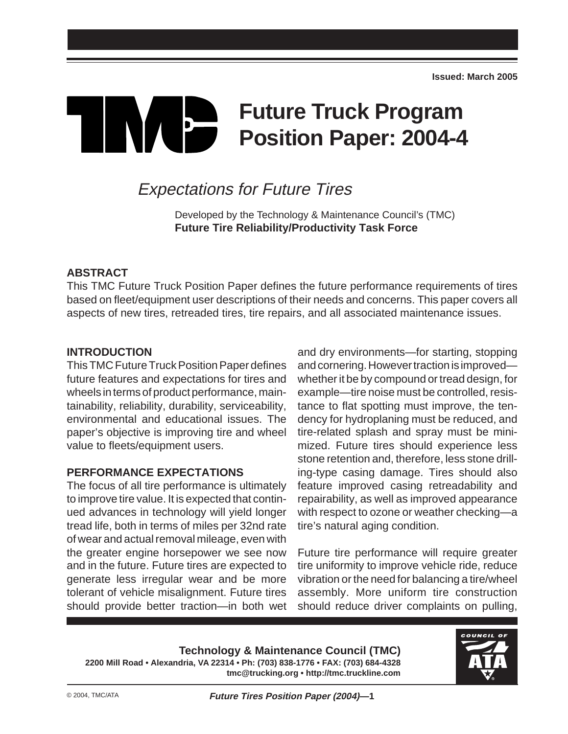# **Future Truck Program** TIN/E **Position Paper: 2004-4**

# Expectations for Future Tires

Developed by the Technology & Maintenance Council's (TMC) **Future Tire Reliability/Productivity Task Force**

# **ABSTRACT**

This TMC Future Truck Position Paper defines the future performance requirements of tires based on fleet/equipment user descriptions of their needs and concerns. This paper covers all aspects of new tires, retreaded tires, tire repairs, and all associated maintenance issues.

#### **INTRODUCTION**

This TMC Future Truck Position Paper defines future features and expectations for tires and wheels in terms of product performance, maintainability, reliability, durability, serviceability, environmental and educational issues. The paper's objective is improving tire and wheel value to fleets/equipment users.

# **PERFORMANCE EXPECTATIONS**

The focus of all tire performance is ultimately to improve tire value. It is expected that continued advances in technology will yield longer tread life, both in terms of miles per 32nd rate of wear and actual removal mileage, even with the greater engine horsepower we see now and in the future. Future tires are expected to generate less irregular wear and be more tolerant of vehicle misalignment. Future tires should provide better traction—in both wet

and dry environments—for starting, stopping and cornering. However traction is improved whether it be by compound or tread design, for example—tire noise must be controlled, resistance to flat spotting must improve, the tendency for hydroplaning must be reduced, and tire-related splash and spray must be minimized. Future tires should experience less stone retention and, therefore, less stone drilling-type casing damage. Tires should also feature improved casing retreadability and repairability, as well as improved appearance with respect to ozone or weather checking—a tire's natural aging condition.

Future tire performance will require greater tire uniformity to improve vehicle ride, reduce vibration or the need for balancing a tire/wheel assembly. More uniform tire construction should reduce driver complaints on pulling,

**Technology & Maintenance Council (TMC) 2200 Mill Road • Alexandria, VA 22314 • Ph: (703) 838-1776 • FAX: (703) 684-4328 tmc@trucking.org • http://tmc.truckline.com**

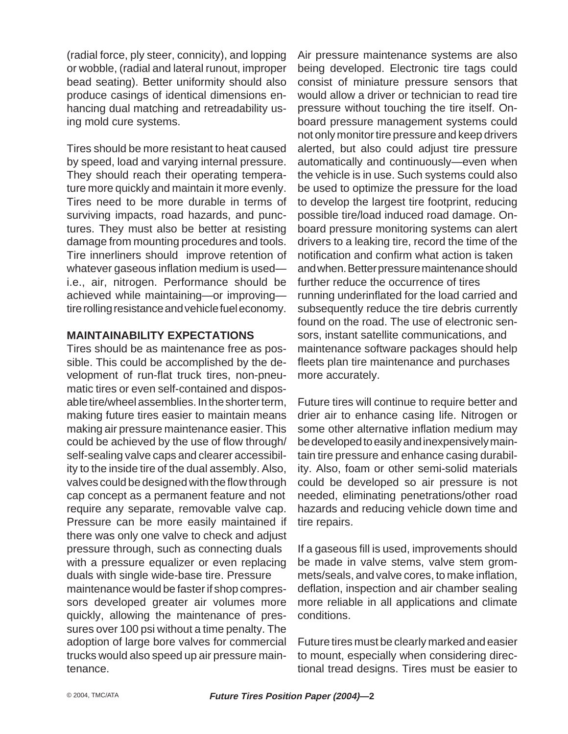(radial force, ply steer, connicity), and lopping or wobble, (radial and lateral runout, improper bead seating). Better uniformity should also produce casings of identical dimensions enhancing dual matching and retreadability using mold cure systems.

Tires should be more resistant to heat caused by speed, load and varying internal pressure. They should reach their operating temperature more quickly and maintain it more evenly. Tires need to be more durable in terms of surviving impacts, road hazards, and punctures. They must also be better at resisting damage from mounting procedures and tools. Tire innerliners should improve retention of whatever gaseous inflation medium is used i.e., air, nitrogen. Performance should be achieved while maintaining—or improving tire rolling resistance and vehicle fuel economy.

#### **MAINTAINABILITY EXPECTATIONS**

Tires should be as maintenance free as possible. This could be accomplished by the development of run-flat truck tires, non-pneumatic tires or even self-contained and disposable tire/wheel assemblies. In the shorter term, making future tires easier to maintain means making air pressure maintenance easier. This could be achieved by the use of flow through/ self-sealing valve caps and clearer accessibility to the inside tire of the dual assembly. Also, valves could be designed with the flow through cap concept as a permanent feature and not require any separate, removable valve cap. Pressure can be more easily maintained if there was only one valve to check and adjust pressure through, such as connecting duals with a pressure equalizer or even replacing duals with single wide-base tire. Pressure maintenance would be faster if shop compressors developed greater air volumes more quickly, allowing the maintenance of pressures over 100 psi without a time penalty. The adoption of large bore valves for commercial trucks would also speed up air pressure maintenance.

Air pressure maintenance systems are also being developed. Electronic tire tags could consist of miniature pressure sensors that would allow a driver or technician to read tire pressure without touching the tire itself. Onboard pressure management systems could not only monitor tire pressure and keep drivers alerted, but also could adjust tire pressure automatically and continuously—even when the vehicle is in use. Such systems could also be used to optimize the pressure for the load to develop the largest tire footprint, reducing possible tire/load induced road damage. Onboard pressure monitoring systems can alert drivers to a leaking tire, record the time of the notification and confirm what action is taken and when. Better pressure maintenance should further reduce the occurrence of tires running underinflated for the load carried and subsequently reduce the tire debris currently found on the road. The use of electronic sensors, instant satellite communications, and maintenance software packages should help fleets plan tire maintenance and purchases more accurately.

Future tires will continue to require better and drier air to enhance casing life. Nitrogen or some other alternative inflation medium may be developed to easily and inexpensively maintain tire pressure and enhance casing durability. Also, foam or other semi-solid materials could be developed so air pressure is not needed, eliminating penetrations/other road hazards and reducing vehicle down time and tire repairs.

If a gaseous fill is used, improvements should be made in valve stems, valve stem grommets/seals, and valve cores, to make inflation, deflation, inspection and air chamber sealing more reliable in all applications and climate conditions.

Future tires must be clearly marked and easier to mount, especially when considering directional tread designs. Tires must be easier to